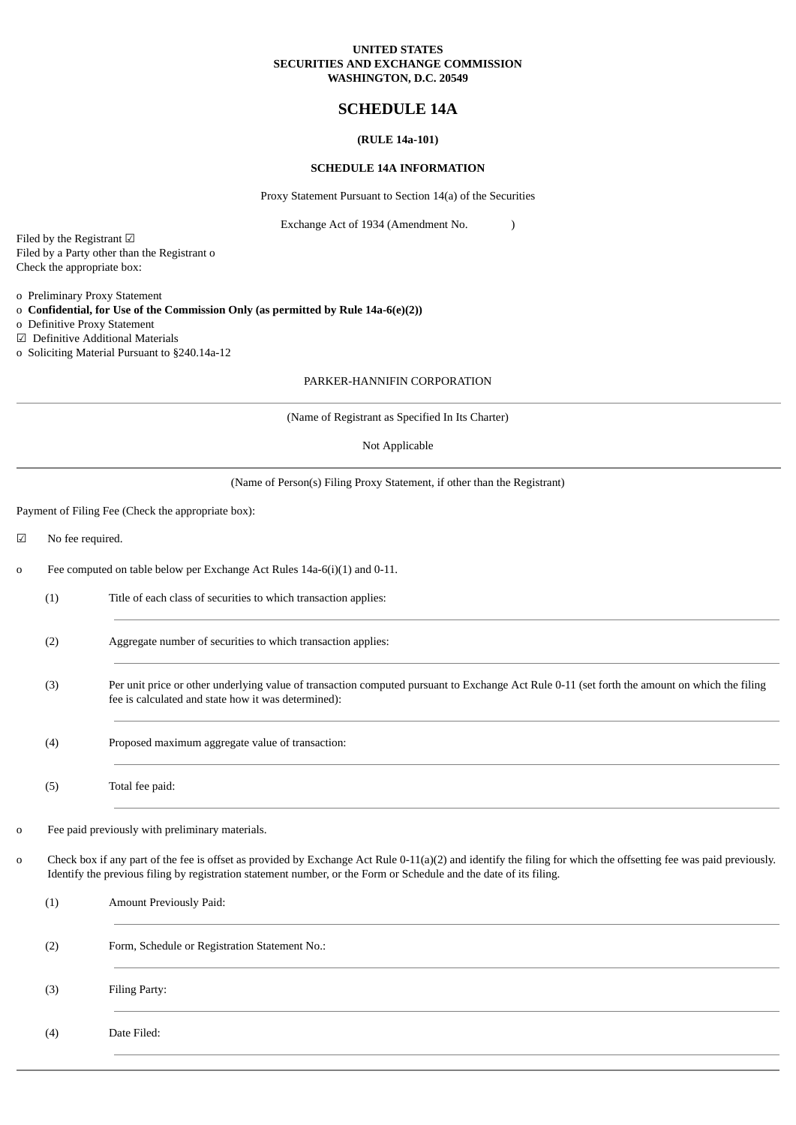### **UNITED STATES SECURITIES AND EXCHANGE COMMISSION WASHINGTON, D.C. 20549**

## **SCHEDULE 14A**

## **(RULE 14a-101)**

### **SCHEDULE 14A INFORMATION**

Proxy Statement Pursuant to Section 14(a) of the Securities

Exchange Act of 1934 (Amendment No. )

Filed by the Registrant ☑ Filed by a Party other than the Registrant o Check the appropriate box:

o Preliminary Proxy Statement

o **Confidential, for Use of the Commission Only (as permitted by Rule 14a-6(e)(2))**

o Definitive Proxy Statement

☑ Definitive Additional Materials o Soliciting Material Pursuant to §240.14a-12

### PARKER-HANNIFIN CORPORATION

(Name of Registrant as Specified In Its Charter)

Not Applicable

| (Name of Person(s) Filing Proxy Statement, if other than the Registrant) |  |  |
|--------------------------------------------------------------------------|--|--|
|                                                                          |  |  |

Payment of Filing Fee (Check the appropriate box):

☑ No fee required.

- o Fee computed on table below per Exchange Act Rules 14a-6(i)(1) and 0-11.
	- (1) Title of each class of securities to which transaction applies:
	- (2) Aggregate number of securities to which transaction applies:
	- (3) Per unit price or other underlying value of transaction computed pursuant to Exchange Act Rule 0-11 (set forth the amount on which the filing fee is calculated and state how it was determined):
	- (4) Proposed maximum aggregate value of transaction:
	- (5) Total fee paid:
- o Fee paid previously with preliminary materials.
- o Check box if any part of the fee is offset as provided by Exchange Act Rule 0-11(a)(2) and identify the filing for which the offsetting fee was paid previously. Identify the previous filing by registration statement number, or the Form or Schedule and the date of its filing.

| (1) | Amount Previously Paid:                       |
|-----|-----------------------------------------------|
| (2) | Form, Schedule or Registration Statement No.: |
| (3) | Filing Party:                                 |
| (4) | Date Filed:                                   |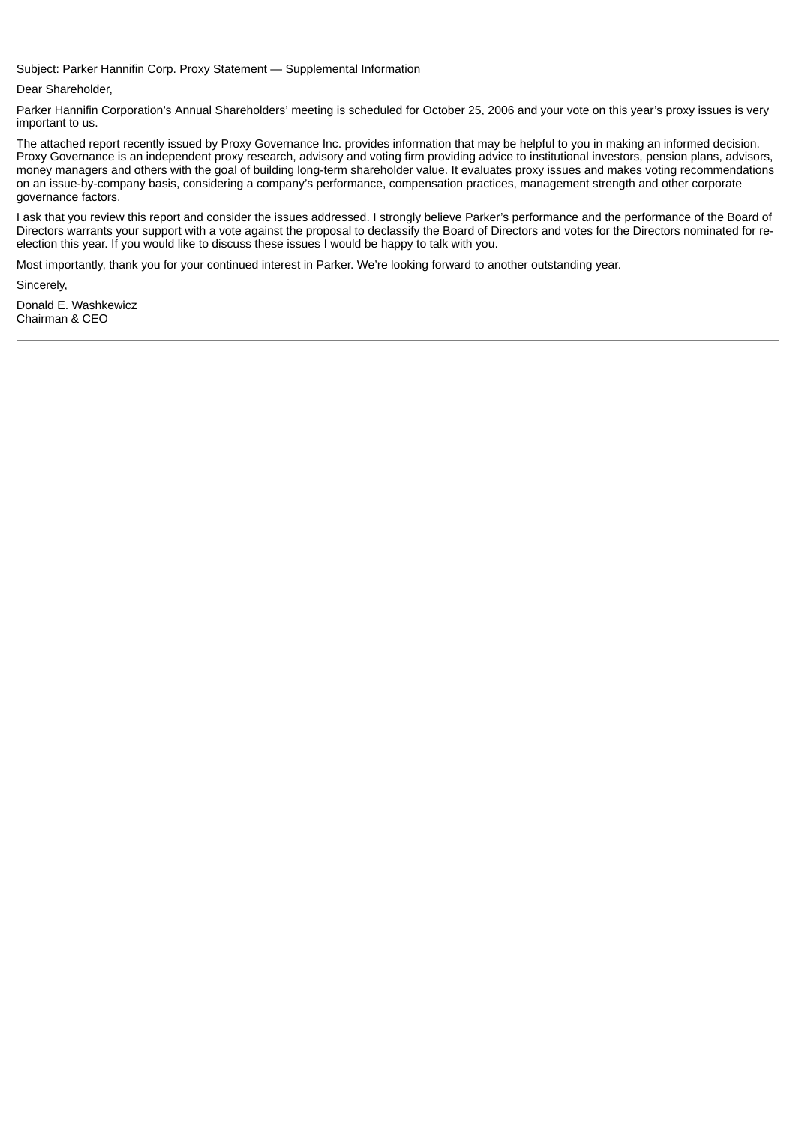Subject: Parker Hannifin Corp. Proxy Statement — Supplemental Information

Dear Shareholder,

Parker Hannifin Corporation's Annual Shareholders' meeting is scheduled for October 25, 2006 and your vote on this year's proxy issues is very important to us.

The attached report recently issued by Proxy Governance Inc. provides information that may be helpful to you in making an informed decision. Proxy Governance is an independent proxy research, advisory and voting firm providing advice to institutional investors, pension plans, advisors, money managers and others with the goal of building long-term shareholder value. It evaluates proxy issues and makes voting recommendations on an issue-by-company basis, considering a company's performance, compensation practices, management strength and other corporate governance factors.

I ask that you review this report and consider the issues addressed. I strongly believe Parker's performance and the performance of the Board of Directors warrants your support with a vote against the proposal to declassify the Board of Directors and votes for the Directors nominated for reelection this year. If you would like to discuss these issues I would be happy to talk with you.

Most importantly, thank you for your continued interest in Parker. We're looking forward to another outstanding year.

Sincerely,

Donald E. Washkewicz Chairman & CEO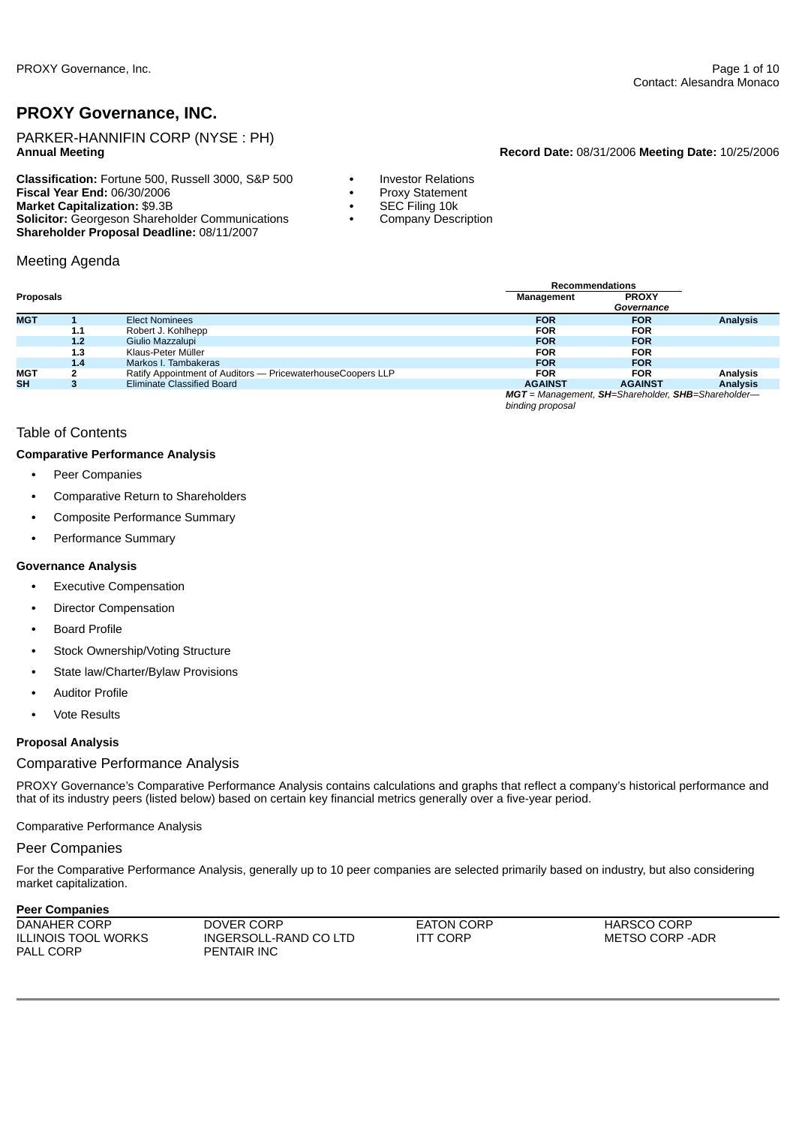# **PROXY Governance, INC.**

PARKER-HANNIFIN CORP (NYSE : PH)

**Classification:** Fortune 500, Russell 3000, S&P 500 **•** Investor Relations **Fiscal Year End: 06/30/2006 Market Capitalization:** \$9.3B **•** SEC Filing 10k **Solicitor:** Georgeson Shareholder Communications **•** Company Description **Shareholder Proposal Deadline:** 08/11/2007

# Meeting Agenda

### **Annual Meeting Record Date:** 08/31/2006 **Meeting Date:** 10/25/2006

- 
- 
- 
- 

|            |     |                                                             | <b>Recommendations</b> |                                                    |                 |  |  |  |
|------------|-----|-------------------------------------------------------------|------------------------|----------------------------------------------------|-----------------|--|--|--|
| Proposals  |     |                                                             | Management             | <b>PROXY</b>                                       |                 |  |  |  |
|            |     |                                                             |                        | Governance                                         |                 |  |  |  |
| <b>MGT</b> |     | Elect Nominees                                              | <b>FOR</b>             | <b>FOR</b>                                         | <b>Analysis</b> |  |  |  |
|            | 1.1 | Robert J. Kohlhepp                                          | <b>FOR</b>             | <b>FOR</b>                                         |                 |  |  |  |
|            | 1.2 | Giulio Mazzalupi                                            | <b>FOR</b>             | <b>FOR</b>                                         |                 |  |  |  |
|            | 1.3 | Klaus-Peter Müller                                          | <b>FOR</b>             | <b>FOR</b>                                         |                 |  |  |  |
|            | 1.4 | Markos I. Tambakeras                                        | <b>FOR</b>             | <b>FOR</b>                                         |                 |  |  |  |
| MGT        |     | Ratify Appointment of Auditors - PricewaterhouseCoopers LLP | <b>FOR</b>             | <b>FOR</b>                                         | Analysis        |  |  |  |
| <b>SH</b>  | з   | Eliminate Classified Board                                  | <b>AGAINST</b>         | <b>AGAINST</b>                                     | <b>Analysis</b> |  |  |  |
|            |     |                                                             | binding proposal       | MGT = Management, SH=Shareholder, SHB=Shareholder- |                 |  |  |  |

## Table of Contents

### **Comparative Performance Analysis**

- **•** Peer Companies
- **•** Comparative Return to Shareholders
- **•** Composite Performance Summary
- **•** Performance Summary

### **Governance Analysis**

- **•** Executive Compensation
- **•** Director Compensation
- **•** Board Profile
- **•** Stock Ownership/Voting Structure
- **•** State law/Charter/Bylaw Provisions
- **•** Auditor Profile
- **•** Vote Results

### **Proposal Analysis**

# Comparative Performance Analysis

PROXY Governance's Comparative Performance Analysis contains calculations and graphs that reflect a company's historical performance and that of its industry peers (listed below) based on certain key financial metrics generally over a five-year period.

Comparative Performance Analysis

# Peer Companies

For the Comparative Performance Analysis, generally up to 10 peer companies are selected primarily based on industry, but also considering market capitalization.

## **Peer Companies**

| DANAHER CORP               | DOVER CORP            | <b>EATON CORP</b> | <b>HARSCO CORP</b> |
|----------------------------|-----------------------|-------------------|--------------------|
| <b>ILLINOIS TOOL WORKS</b> | INGERSOLL-RAND CO LTD | ITT CORP          | METSO CORP -ADR    |
| <b>PALL CORP</b>           | <b>PENTAIR INC</b>    |                   |                    |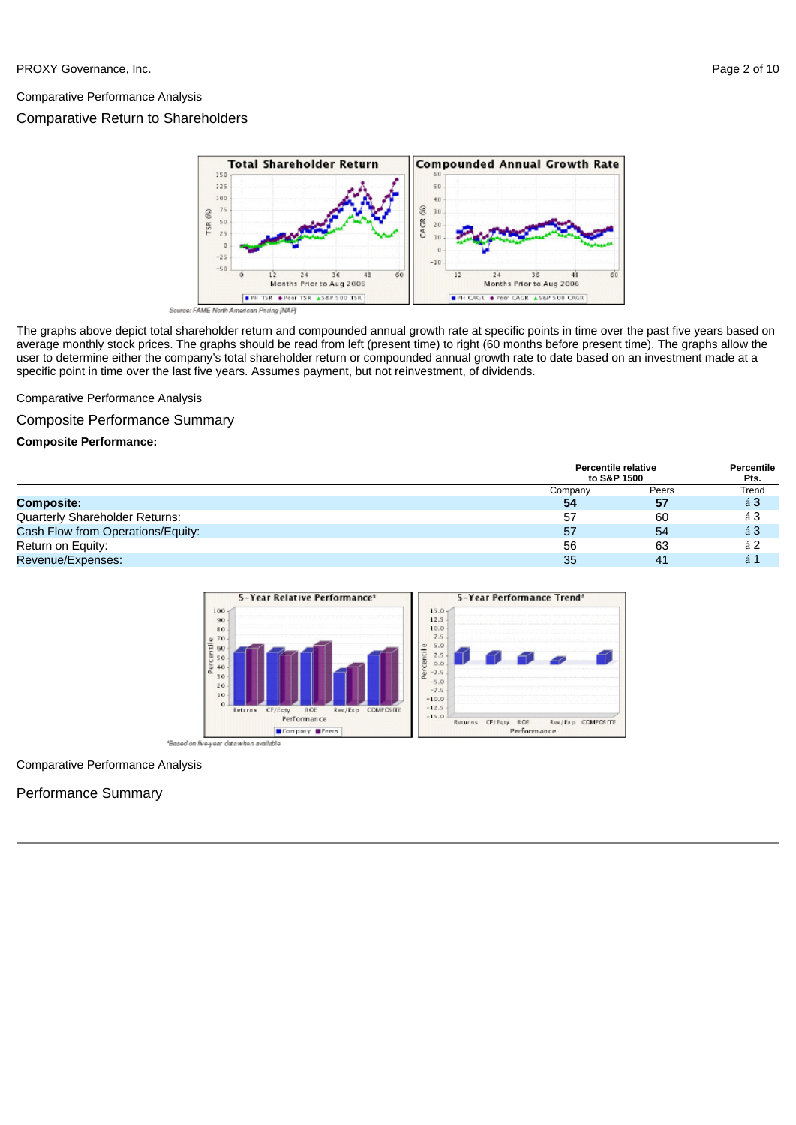### Comparative Performance Analysis

## Comparative Return to Shareholders





The graphs above depict total shareholder return and compounded annual growth rate at specific points in time over the past five years based on average monthly stock prices. The graphs should be read from left (present time) to right (60 months before present time). The graphs allow the user to determine either the company's total shareholder return or compounded annual growth rate to date based on an investment made at a specific point in time over the last five years. Assumes payment, but not reinvestment, of dividends.

## Comparative Performance Analysis

### Composite Performance Summary

### **Composite Performance:**

|                                   | to S&P 1500 | <b>Percentile relative</b> | Percentile<br>Pts. |
|-----------------------------------|-------------|----------------------------|--------------------|
|                                   | Company     | Peers                      | Trend              |
| <b>Composite:</b>                 | 54          | 57                         | $\acute{a}3$       |
| Quarterly Shareholder Returns:    | 57          | 60                         | á 3                |
| Cash Flow from Operations/Equity: | 57          | 54                         | á <sub>3</sub>     |
| Return on Equity:                 | 56          | 63                         | á <sub>2</sub>     |
| Revenue/Expenses:                 | 35          | 41                         | á 1                |



### Comparative Performance Analysis

## Performance Summary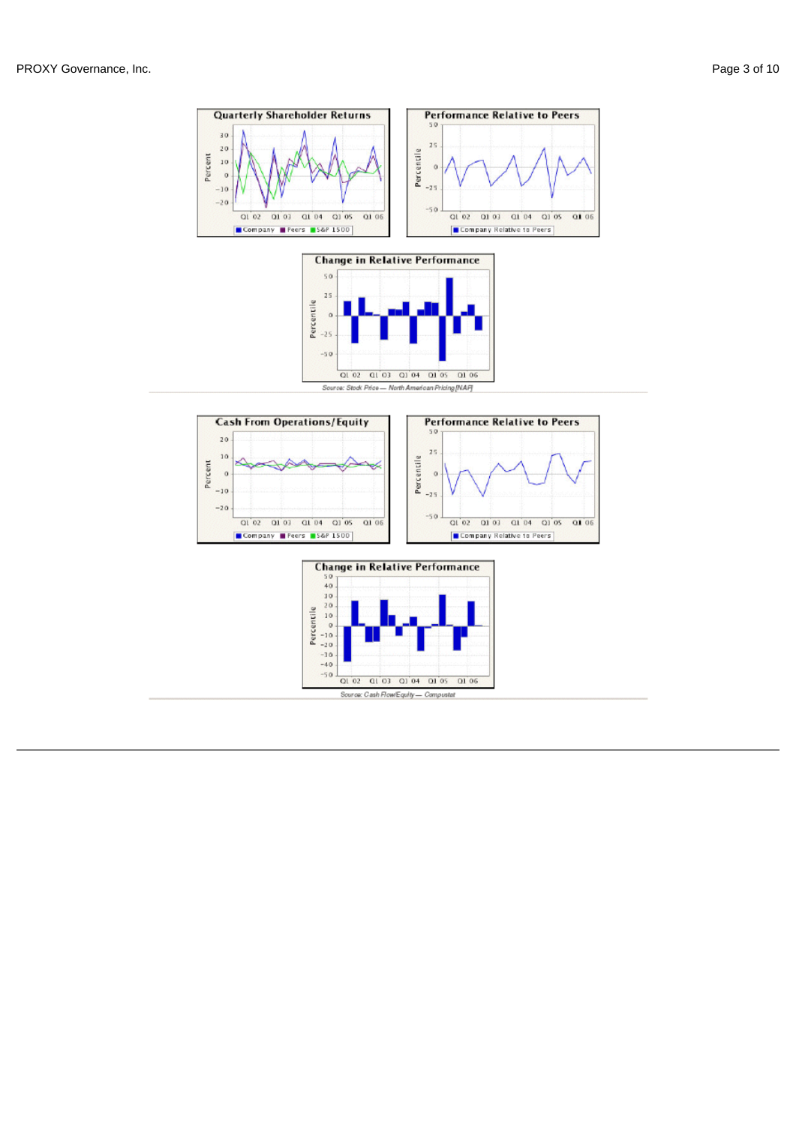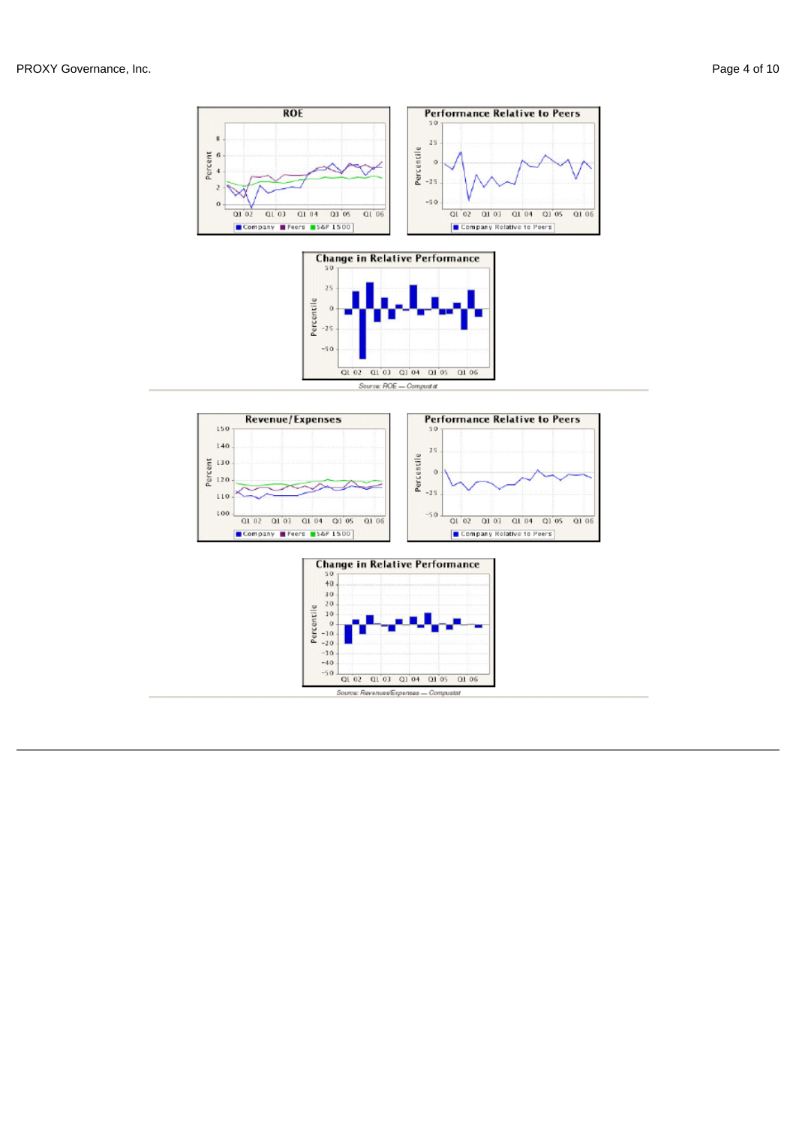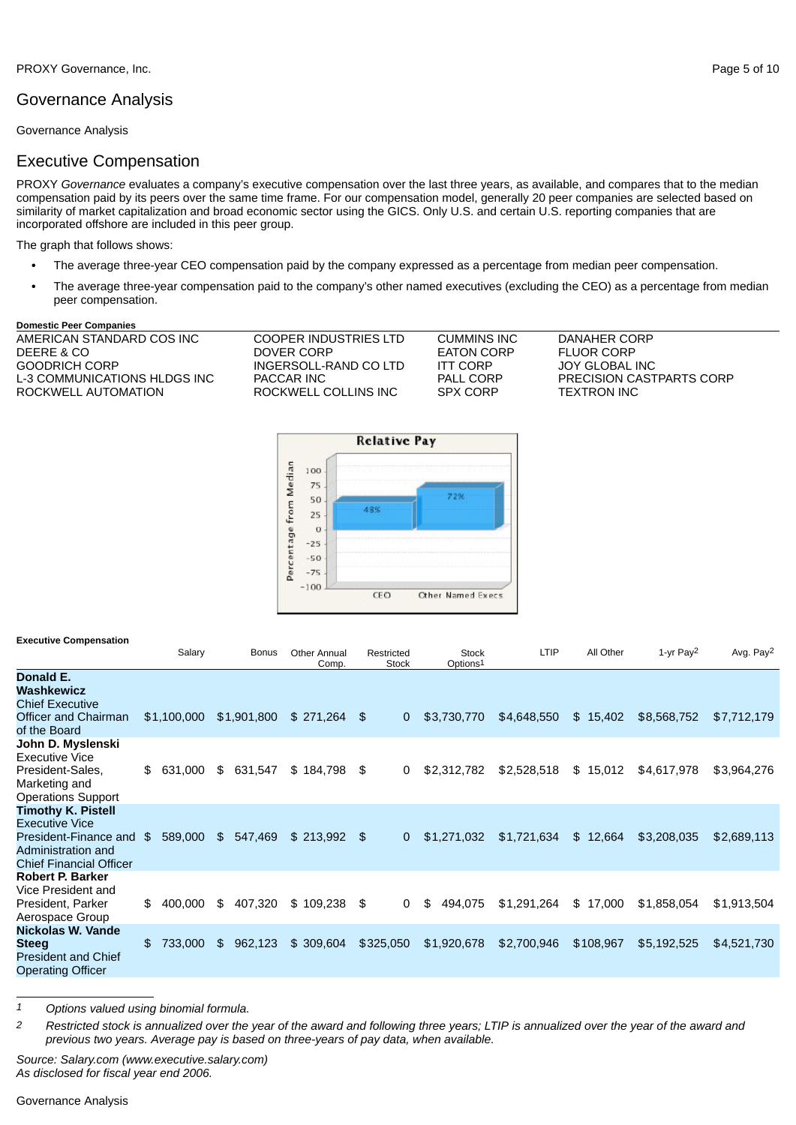# Governance Analysis

Governance Analysis

## Executive Compensation

PROXY *Governance* evaluates a company's executive compensation over the last three years, as available, and compares that to the median compensation paid by its peers over the same time frame. For our compensation model, generally 20 peer companies are selected based on similarity of market capitalization and broad economic sector using the GICS. Only U.S. and certain U.S. reporting companies that are incorporated offshore are included in this peer group.

The graph that follows shows:

- **•** The average three-year CEO compensation paid by the company expressed as a percentage from median peer compensation.
- **•** The average three-year compensation paid to the company's other named executives (excluding the CEO) as a percentage from median peer compensation.

#### **Domestic Peer Companies**

| AMERICAN STANDARD COS INC    | COOPER INDUSTRIES LTD | <b>CUMMINS INC</b> | DANAHER CORP                    |
|------------------------------|-----------------------|--------------------|---------------------------------|
| DEERE & CO                   | DOVER CORP            | <b>EATON CORP</b>  | <b>FLUOR CORP</b>               |
| GOODRICH CORP                | INGERSOLL-RAND CO LTD | <b>ITT CORP</b>    | JOY GLOBAL INC                  |
| L-3 COMMUNICATIONS HLDGS INC | PACCAR INC            | PALL CORP          | <b>PRECISION CASTPARTS CORP</b> |
| ROCKWELL AUTOMATION          | ROCKWELL COLLINS INC  | <b>SPX CORP</b>    | TEXTRON INC                     |
|                              |                       |                    |                                 |
|                              |                       |                    |                                 |



| <b>Executive Compensation</b>                                                                                                       | Salary        |             | <b>Bonus</b> | <b>Other Annual</b><br>Comp. | Restricted | <b>Stock</b> | <b>Stock</b><br>Options1 | LTIP        | All Other | 1-yr Pay2   | Avg. Pay <sup>2</sup> |
|-------------------------------------------------------------------------------------------------------------------------------------|---------------|-------------|--------------|------------------------------|------------|--------------|--------------------------|-------------|-----------|-------------|-----------------------|
| Donald E.<br>Washkewicz<br><b>Chief Executive</b><br>Officer and Chairman<br>of the Board                                           | \$1,100,000   |             | \$1,901,800  | $$271,264$ \$                |            | $\mathbf{0}$ | \$3,730,770              | \$4,648,550 | \$15,402  | \$8,568,752 | \$7,712,179           |
| John D. Myslenski<br><b>Executive Vice</b><br>President-Sales,<br>Marketing and<br><b>Operations Support</b>                        | \$631,000     | \$          | 631,547      | \$184,798                    | \$         | 0            | \$2,312,782              | \$2,528,518 | \$15,012  | \$4,617,978 | \$3,964,276           |
| <b>Timothy K. Pistell</b><br><b>Executive Vice</b><br>President-Finance and<br>Administration and<br><b>Chief Financial Officer</b> | \$<br>589,000 | $$^{\circ}$ | 547,469      | $$213,992$ \$                |            | $\mathbf{0}$ | \$1,271,032              | \$1,721,634 | \$12,664  | \$3,208,035 | \$2,689,113           |
| <b>Robert P. Barker</b><br>Vice President and<br>President, Parker<br>Aerospace Group                                               | \$<br>400.000 | \$          | 407,320      | \$109.238                    | \$         | 0            | 494,075<br>\$.           | \$1,291,264 | \$17,000  | \$1,858,054 | \$1,913,504           |
| Nickolas W. Vande<br><b>Steeg</b><br><b>President and Chief</b><br>Operating Officer                                                | \$<br>733,000 | \$          | 962,123      | \$309,604                    | \$325,050  |              | \$1,920,678              | \$2,700,946 | \$108,967 | \$5,192,525 | \$4,521,730           |

*1 Options valued using binomial formula.*

2 Restricted stock is annualized over the year of the award and following three years; LTIP is annualized over the year of the award and *previous two years. Average pay is based on three-years of pay data, when available.*

*Source: Salary.com (www.executive.salary.com) As disclosed for fiscal year end 2006.*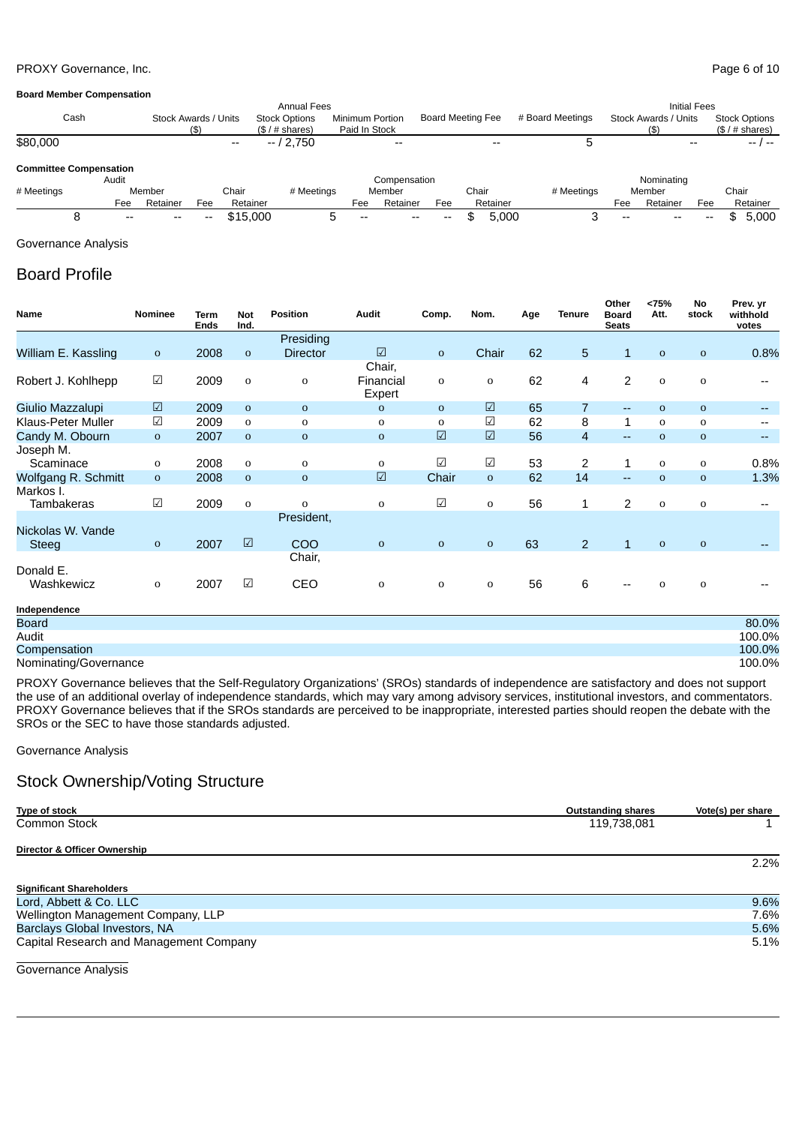### PROXY Governance, Inc. **PROXY Governance**, Inc.

#### **Board Member Compensation**

|            | <b>Annual Fees</b>            |                      |     |          |                                         |                                  |                          |                          |       | <b>Initial Fees</b> |                  |       |                                     |       |       |                                       |  |
|------------|-------------------------------|----------------------|-----|----------|-----------------------------------------|----------------------------------|--------------------------|--------------------------|-------|---------------------|------------------|-------|-------------------------------------|-------|-------|---------------------------------------|--|
|            | Cash                          | Stock Awards / Units |     |          | <b>Stock Options</b><br>$($/$ # shares) | Minimum Portion<br>Paid In Stock |                          | <b>Board Meeting Fee</b> |       |                     | # Board Meetings |       | <b>Stock Awards / Units</b><br>(\$) |       |       | <b>Stock Options</b><br>(\$1# shares) |  |
| \$80.000   |                               |                      |     | $- -$    | $-12.750$                               |                                  | $\overline{\phantom{m}}$ |                          |       | $- -$               |                  |       |                                     |       |       | $- - 1 - -$                           |  |
|            | <b>Committee Compensation</b> |                      |     |          |                                         |                                  |                          |                          |       |                     |                  |       |                                     |       |       |                                       |  |
|            | Audit                         |                      |     |          |                                         |                                  | Compensation             |                          |       |                     |                  |       | Nominating                          |       |       |                                       |  |
| # Meetings |                               | Member               |     | Chair    | # Meetings                              |                                  | Member                   |                          | Chair |                     | # Meetings       |       | Member                              |       | Chair |                                       |  |
|            | Fee                           | Retainer             | Fee | Retainer |                                         | Fee                              | Retainer                 | Fee                      |       | Retainer            |                  | Fee   | Retainer                            | Fee   |       | Retainer                              |  |
|            | $- -$                         | --                   | --  | \$15,000 |                                         | $- -$                            | $- -$                    | --                       |       | 5.000               |                  | $- -$ | $- -$                               | $- -$ | ۰D    | 5.000                                 |  |

### Governance Analysis

# Board Profile

| Name                    | Nominee              | Term<br><b>Ends</b> | <b>Not</b><br>Ind.    | <b>Position</b> | Audit                 | Comp.                | Nom.                 | Age | <b>Tenure</b>  | Other<br><b>Board</b><br><b>Seats</b> | <75%<br>Att. | No<br>stock | Prev. yr<br>withhold<br>votes |
|-------------------------|----------------------|---------------------|-----------------------|-----------------|-----------------------|----------------------|----------------------|-----|----------------|---------------------------------------|--------------|-------------|-------------------------------|
|                         |                      |                     |                       | Presiding       |                       |                      |                      |     |                |                                       |              |             |                               |
| William E. Kassling     | $\mathbf{O}$         | 2008                | $\mathbf{O}$          | <b>Director</b> | $\boxed{\mathcal{L}}$ | $\mathbf{o}$         | Chair                | 62  | 5              | $\mathbf{1}$                          | $\mathbf 0$  | $\mathbf 0$ | 0.8%                          |
|                         |                      |                     |                       |                 | Chair,                |                      |                      |     |                |                                       |              |             |                               |
| Robert J. Kohlhepp      | $\sqrt{ }$           | 2009                | $\mathbf 0$           | 0               | Financial<br>Expert   | 0                    | $\mathbf 0$          | 62  | 4              | 2                                     | 0            | 0           |                               |
| Giulio Mazzalupi        | $\boxed{\checkmark}$ | 2009                | $\mathbf 0$           | $\mathbf 0$     | 0                     | $\mathbf 0$          | $\boxed{\checkmark}$ | 65  | $\overline{7}$ | $\overline{\phantom{a}}$              | $\mathbf 0$  | $\mathbf 0$ |                               |
| Klaus-Peter Muller      | $\sqrt{ }$           | 2009                | 0                     | 0               | 0                     | 0                    | $\sqrt{}$            | 62  | 8              | $\mathbf{1}$                          | 0            | 0           |                               |
| Candy M. Obourn         | $\mathbf{O}$         | 2007                | $\mathbf 0$           | $\mathbf 0$     | $\mathbf 0$           | $\boxed{\checkmark}$ | $\boxed{\checkmark}$ | 56  | $\overline{4}$ | $-$                                   | $\mathbf 0$  | $\mathbf 0$ | --                            |
| Joseph M.               |                      |                     |                       |                 |                       |                      |                      |     |                |                                       |              |             |                               |
| Scaminace               | 0                    | 2008                | 0                     | 0               | 0                     | $\sqrt{2}$           | $\sqrt{ }$           | 53  | $\overline{c}$ | 1                                     | 0            | 0           | 0.8%                          |
| Wolfgang R. Schmitt     | $\mathbf{o}$         | 2008                | $\mathbf{0}$          | $\mathbf 0$     | $\boxed{\triangle}$   | Chair                | $\mathbf{o}$         | 62  | 14             | $\overline{a}$                        | $\mathbf 0$  | $\mathbf 0$ | 1.3%                          |
| Markos I.<br>Tambakeras | $\sqrt{ }$           | 2009                | 0                     | $\mathbf{o}$    | $\mathbf{o}$          | $\sqrt{2}$           | 0                    | 56  | 1              | 2                                     | $\mathbf 0$  | 0           |                               |
|                         |                      |                     |                       | President,      |                       |                      |                      |     |                |                                       |              |             |                               |
| Nickolas W. Vande       |                      |                     |                       |                 |                       |                      |                      |     |                |                                       |              |             |                               |
| <b>Steeg</b>            | $\mathbf{o}$         | 2007                | $\boxed{\mathcal{L}}$ | COO             | $\mathbf{O}$          | $\mathbf 0$          | $\mathbf 0$          | 63  | $\overline{2}$ | $\mathbf{1}$                          | $\mathbf 0$  | $\mathbf 0$ |                               |
|                         |                      |                     |                       | Chair,          |                       |                      |                      |     |                |                                       |              |             |                               |
| Donald E.               |                      |                     |                       |                 |                       |                      |                      |     |                |                                       |              |             |                               |
| Washkewicz              | 0                    | 2007                | $\sqrt{ }$            | CEO             | 0                     | $\mathbf 0$          | $\mathbf 0$          | 56  | 6              |                                       | 0            | 0           |                               |
| Independence            |                      |                     |                       |                 |                       |                      |                      |     |                |                                       |              |             |                               |
| <b>Board</b>            |                      |                     |                       |                 |                       |                      |                      |     |                |                                       |              |             | 80.0%                         |
| Audit                   |                      |                     |                       |                 |                       |                      |                      |     |                |                                       |              |             | 100.0%                        |
| Compensation            |                      |                     |                       |                 |                       |                      |                      |     |                |                                       |              |             | 100.0%                        |
| Nominating/Governance   |                      |                     |                       |                 |                       |                      |                      |     |                |                                       |              |             | 100.0%                        |

PROXY Governance believes that the Self-Regulatory Organizations' (SROs) standards of independence are satisfactory and does not support the use of an additional overlay of independence standards, which may vary among advisory services, institutional investors, and commentators. PROXY Governance believes that if the SROs standards are perceived to be inappropriate, interested parties should reopen the debate with the SROs or the SEC to have those standards adjusted.

Governance Analysis

# Stock Ownership/Voting Structure

| Type of stock                           | <b>Outstanding shares</b> | Vote(s) per share |
|-----------------------------------------|---------------------------|-------------------|
| <b>Common Stock</b>                     | 119,738,081               |                   |
| Director & Officer Ownership            |                           |                   |
|                                         |                           | $2.2\%$           |
| <b>Significant Shareholders</b>         |                           |                   |
| Lord, Abbett & Co. LLC                  |                           | 9.6%              |
| Wellington Management Company, LLP      |                           | 7.6%              |
| Barclays Global Investors, NA           |                           | 5.6%              |
| Capital Research and Management Company |                           | 5.1%              |

Governance Analysis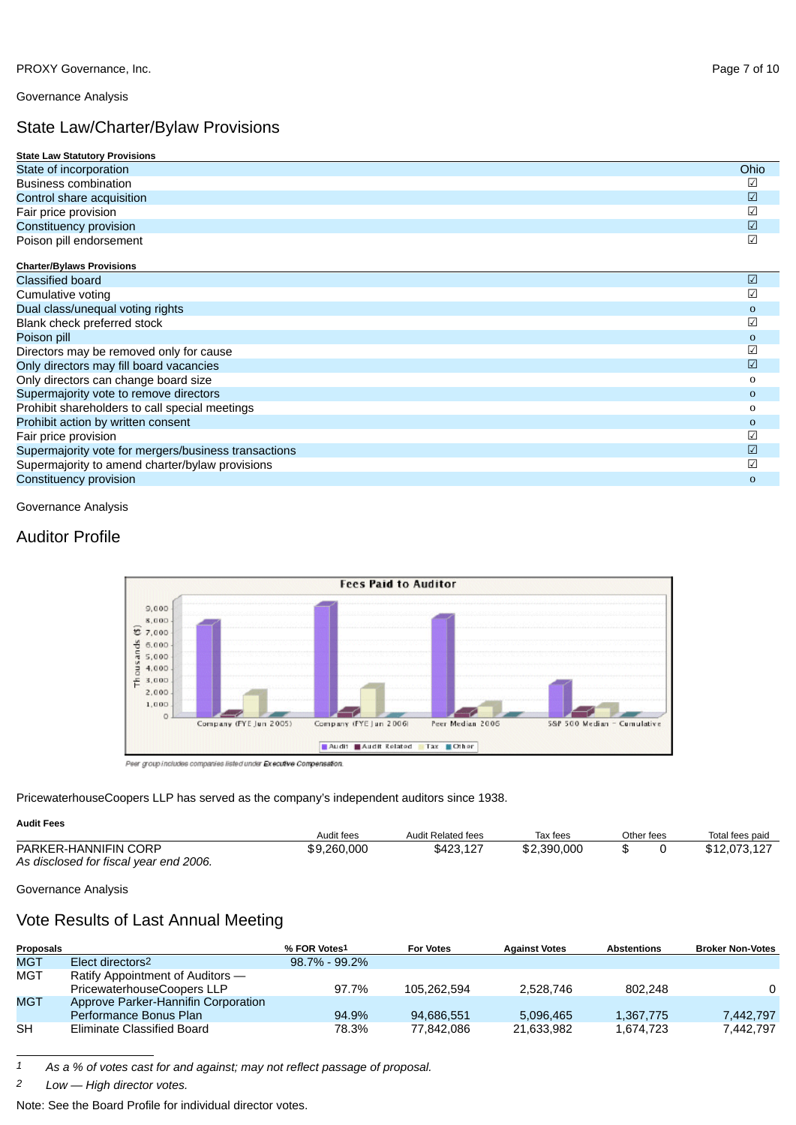Governance Analysis

# State Law/Charter/Bylaw Provisions

| <b>State Law Statutory Provisions</b>                |              |
|------------------------------------------------------|--------------|
| State of incorporation                               | Ohio         |
| <b>Business combination</b>                          | ☑            |
| Control share acquisition                            | $\sqrt{2}$   |
| Fair price provision                                 | $\sqrt{2}$   |
| Constituency provision                               | $\sqrt{2}$   |
| Poison pill endorsement                              | $\sqrt{2}$   |
| <b>Charter/Bylaws Provisions</b>                     |              |
| <b>Classified board</b>                              | ☑            |
| Cumulative voting                                    | ☑            |
| Dual class/unequal voting rights                     | $\mathbf 0$  |
| Blank check preferred stock                          | $\sqrt{2}$   |
| Poison pill                                          | $\mathbf 0$  |
| Directors may be removed only for cause              | $\sqrt{2}$   |
| Only directors may fill board vacancies              | $\sqrt{2}$   |
| Only directors can change board size                 | 0            |
| Supermajority vote to remove directors               | $\mathbf{o}$ |
| Prohibit shareholders to call special meetings       | 0            |
| Prohibit action by written consent                   | $\mathbf 0$  |
| Fair price provision                                 | $\sqrt{2}$   |
| Supermajority vote for mergers/business transactions | $\sqrt{2}$   |
| Supermajority to amend charter/bylaw provisions      | $\sqrt{2}$   |
| Constituency provision                               | $\mathbf{O}$ |

Governance Analysis

# Auditor Profile



Peer group includes companies listed under Executive Compensation

PricewaterhouseCoopers LLP has served as the company's independent auditors since 1938.

### **Audit Fees**

|                                        | Audit fees  | Audit Related fees | Tax fees    | Other fees | Total fees paid |  |
|----------------------------------------|-------------|--------------------|-------------|------------|-----------------|--|
| PARKER-HANNIFIN CORP                   | \$9,260,000 | \$423.127          | \$2,390,000 |            | \$12,073,127    |  |
| As disclosed for fiscal year end 2006. |             |                    |             |            |                 |  |

### Governance Analysis

# Vote Results of Last Annual Meeting

| Proposals  |                                     | % FOR Votes1      | <b>For Votes</b> | <b>Against Votes</b> | <b>Abstentions</b> | <b>Broker Non-Votes</b> |
|------------|-------------------------------------|-------------------|------------------|----------------------|--------------------|-------------------------|
| <b>MGT</b> | Elect directors <sup>2</sup>        | $98.7\% - 99.2\%$ |                  |                      |                    |                         |
| <b>MGT</b> | Ratify Appointment of Auditors —    |                   |                  |                      |                    |                         |
|            | PricewaterhouseCoopers LLP          | 97.7%             | 105.262.594      | 2.528.746            | 802.248            | 0                       |
| <b>MGT</b> | Approve Parker-Hannifin Corporation |                   |                  |                      |                    |                         |
|            | Performance Bonus Plan              | 94.9%             | 94.686.551       | 5.096.465            | 1,367,775          | 7.442.797               |
| <b>SH</b>  | Eliminate Classified Board          | 78.3%             | 77.842.086       | 21.633.982           | 1.674.723          | 7.442.797               |

*1 As a % of votes cast for and against; may not reflect passage of proposal.*

*2 Low — High director votes.*

Note: See the Board Profile for individual director votes.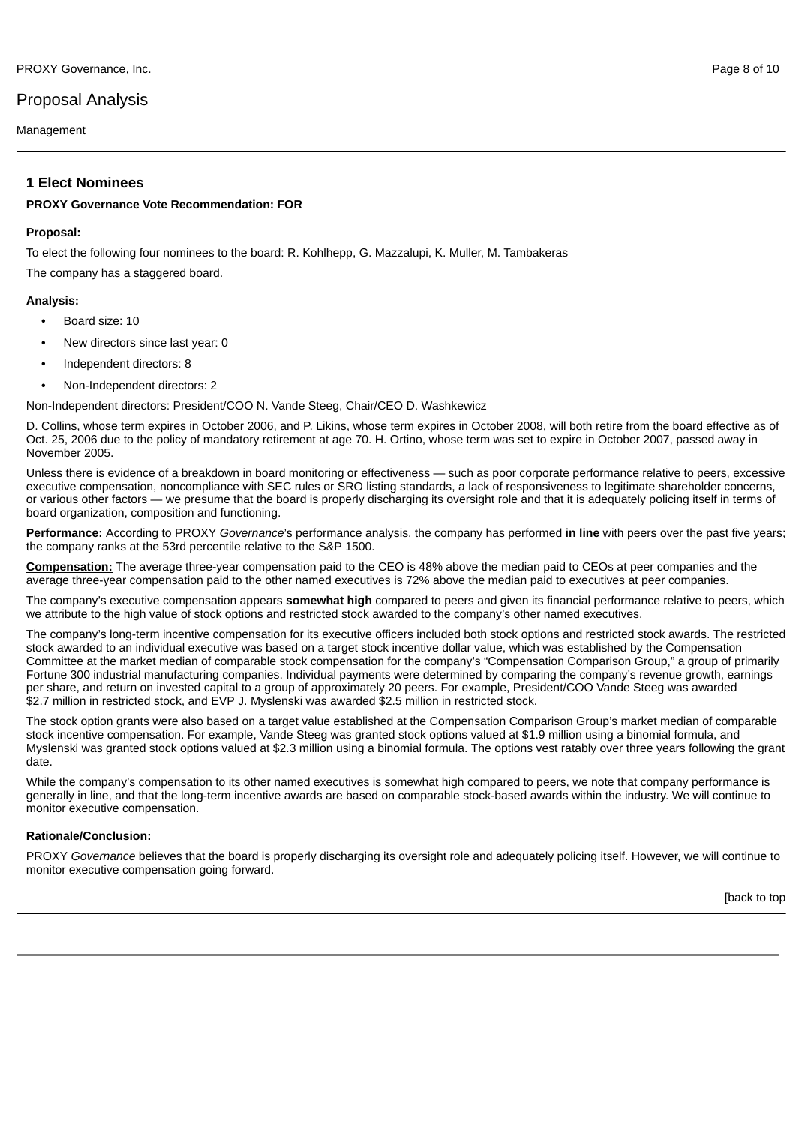# Proposal Analysis

Management

## **1 Elect Nominees**

### **PROXY Governance Vote Recommendation: FOR**

### **Proposal:**

To elect the following four nominees to the board: R. Kohlhepp, G. Mazzalupi, K. Muller, M. Tambakeras

The company has a staggered board.

### **Analysis:**

- **•** Board size: 10
- **•** New directors since last year: 0
- **•** Independent directors: 8
- **•** Non-Independent directors: 2

Non-Independent directors: President/COO N. Vande Steeg, Chair/CEO D. Washkewicz

D. Collins, whose term expires in October 2006, and P. Likins, whose term expires in October 2008, will both retire from the board effective as of Oct. 25, 2006 due to the policy of mandatory retirement at age 70. H. Ortino, whose term was set to expire in October 2007, passed away in November 2005.

Unless there is evidence of a breakdown in board monitoring or effectiveness — such as poor corporate performance relative to peers, excessive executive compensation, noncompliance with SEC rules or SRO listing standards, a lack of responsiveness to legitimate shareholder concerns, or various other factors — we presume that the board is properly discharging its oversight role and that it is adequately policing itself in terms of board organization, composition and functioning.

**Performance:** According to PROXY *Governance*'s performance analysis, the company has performed **in line** with peers over the past five years; the company ranks at the 53rd percentile relative to the S&P 1500.

**Compensation:** The average three-year compensation paid to the CEO is 48% above the median paid to CEOs at peer companies and the average three-year compensation paid to the other named executives is 72% above the median paid to executives at peer companies.

The company's executive compensation appears **somewhat high** compared to peers and given its financial performance relative to peers, which we attribute to the high value of stock options and restricted stock awarded to the company's other named executives.

The company's long-term incentive compensation for its executive officers included both stock options and restricted stock awards. The restricted stock awarded to an individual executive was based on a target stock incentive dollar value, which was established by the Compensation Committee at the market median of comparable stock compensation for the company's "Compensation Comparison Group," a group of primarily Fortune 300 industrial manufacturing companies. Individual payments were determined by comparing the company's revenue growth, earnings per share, and return on invested capital to a group of approximately 20 peers. For example, President/COO Vande Steeg was awarded \$2.7 million in restricted stock, and EVP J. Myslenski was awarded \$2.5 million in restricted stock.

The stock option grants were also based on a target value established at the Compensation Comparison Group's market median of comparable stock incentive compensation. For example, Vande Steeg was granted stock options valued at \$1.9 million using a binomial formula, and Myslenski was granted stock options valued at \$2.3 million using a binomial formula. The options vest ratably over three years following the grant date.

While the company's compensation to its other named executives is somewhat high compared to peers, we note that company performance is generally in line, and that the long-term incentive awards are based on comparable stock-based awards within the industry. We will continue to monitor executive compensation.

### **Rationale/Conclusion:**

PROXY *Governance* believes that the board is properly discharging its oversight role and adequately policing itself. However, we will continue to monitor executive compensation going forward.

[back to top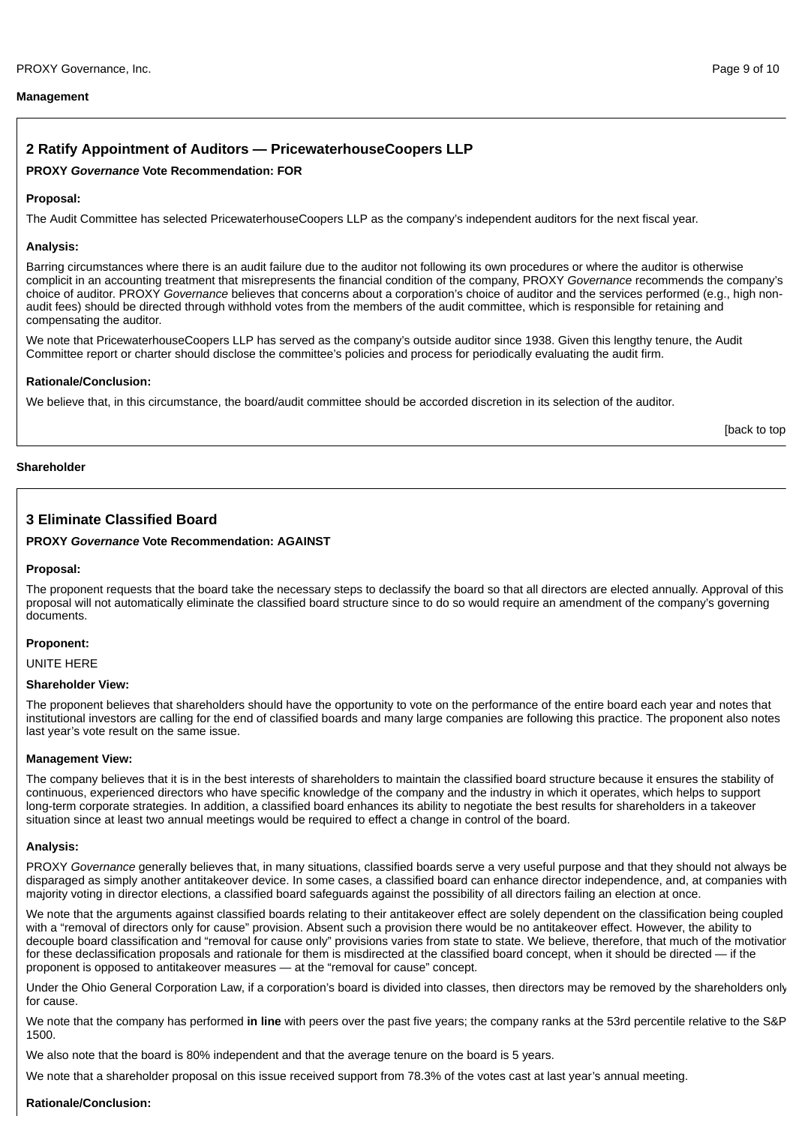### **Management**

## **2 Ratify Appointment of Auditors — PricewaterhouseCoopers LLP**

### **PROXY** *Governance* **Vote Recommendation: FOR**

### **Proposal:**

The Audit Committee has selected PricewaterhouseCoopers LLP as the company's independent auditors for the next fiscal year.

### **Analysis:**

Barring circumstances where there is an audit failure due to the auditor not following its own procedures or where the auditor is otherwise complicit in an accounting treatment that misrepresents the financial condition of the company, PROXY *Governance* recommends the company's choice of auditor. PROXY *Governance* believes that concerns about a corporation's choice of auditor and the services performed (e.g., high nonaudit fees) should be directed through withhold votes from the members of the audit committee, which is responsible for retaining and compensating the auditor.

We note that PricewaterhouseCoopers LLP has served as the company's outside auditor since 1938. Given this lengthy tenure, the Audit Committee report or charter should disclose the committee's policies and process for periodically evaluating the audit firm.

#### **Rationale/Conclusion:**

We believe that, in this circumstance, the board/audit committee should be accorded discretion in its selection of the auditor.

[back to top

#### **Shareholder**

## **3 Eliminate Classified Board**

### **PROXY** *Governance* **Vote Recommendation: AGAINST**

#### **Proposal:**

The proponent requests that the board take the necessary steps to declassify the board so that all directors are elected annually. Approval of this proposal will not automatically eliminate the classified board structure since to do so would require an amendment of the company's governing documents.

#### **Proponent:**

UNITE HERE

#### **Shareholder View:**

The proponent believes that shareholders should have the opportunity to vote on the performance of the entire board each year and notes that institutional investors are calling for the end of classified boards and many large companies are following this practice. The proponent also notes last year's vote result on the same issue.

### **Management View:**

The company believes that it is in the best interests of shareholders to maintain the classified board structure because it ensures the stability of continuous, experienced directors who have specific knowledge of the company and the industry in which it operates, which helps to support long-term corporate strategies. In addition, a classified board enhances its ability to negotiate the best results for shareholders in a takeover situation since at least two annual meetings would be required to effect a change in control of the board.

### **Analysis:**

PROXY *Governance* generally believes that, in many situations, classified boards serve a very useful purpose and that they should not always be disparaged as simply another antitakeover device. In some cases, a classified board can enhance director independence, and, at companies with majority voting in director elections, a classified board safeguards against the possibility of all directors failing an election at once.

We note that the arguments against classified boards relating to their antitakeover effect are solely dependent on the classification being coupled with a "removal of directors only for cause" provision. Absent such a provision there would be no antitakeover effect. However, the ability to decouple board classification and "removal for cause only" provisions varies from state to state. We believe, therefore, that much of the motivation for these declassification proposals and rationale for them is misdirected at the classified board concept, when it should be directed — if the proponent is opposed to antitakeover measures — at the "removal for cause" concept.

Under the Ohio General Corporation Law, if a corporation's board is divided into classes, then directors may be removed by the shareholders only for cause.

We note that the company has performed **in line** with peers over the past five years; the company ranks at the 53rd percentile relative to the S&P 1500.

We also note that the board is 80% independent and that the average tenure on the board is 5 years.

We note that a shareholder proposal on this issue received support from 78.3% of the votes cast at last year's annual meeting.

### **Rationale/Conclusion:**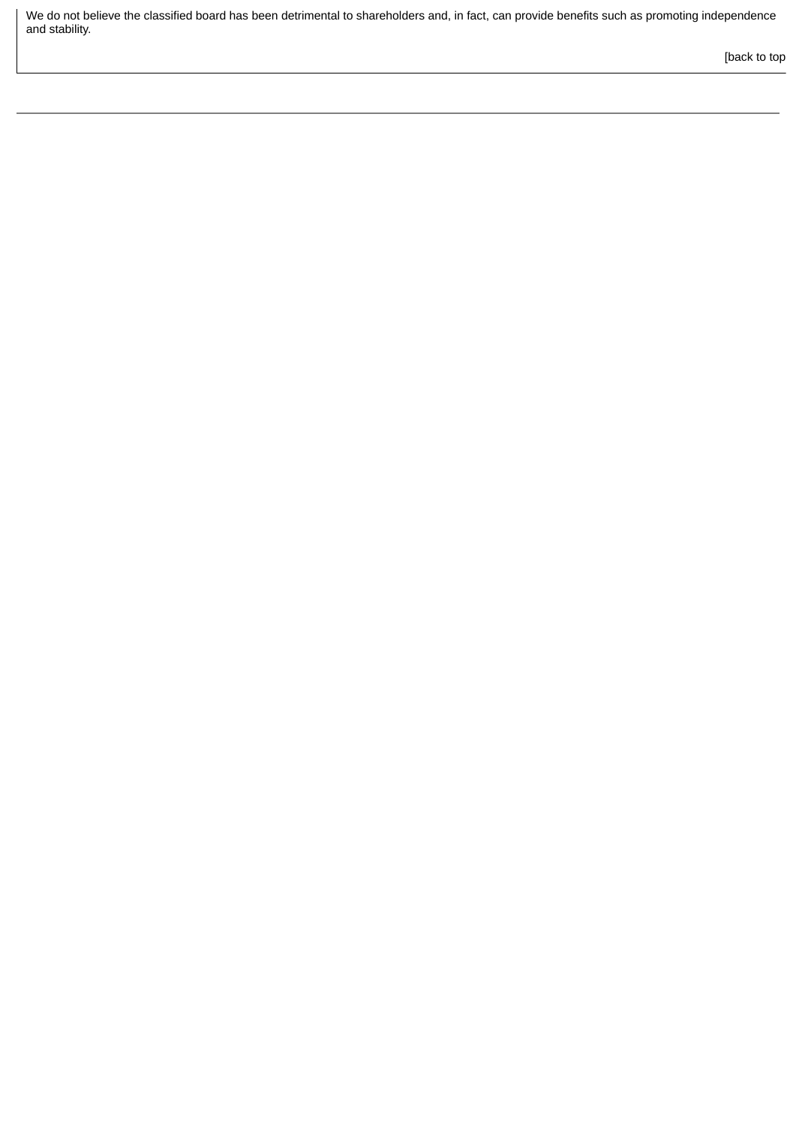We do not believe the classified board has been detrimental to shareholders and, in fact, can provide benefits such as promoting independence and stability.